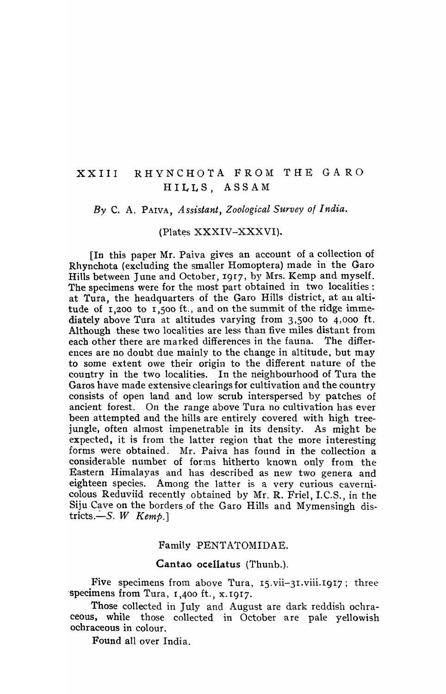# XXIII RHYNCHOTA FROM THE GA RO HILLS, ASSAM

#### *By* C. A. PAIVA, *Assistant, Zoological Survey of India.*

#### (Plates XXXIV-XXXVI).

[In this paper Mr. Paiva gives an account of a collection of Rhynchota (excluding the smaller Homoptera) made in the Garo Hills between June and October, 1917, by Mrs. Kemp and myself. The specimens were for the most part obtained in two localities: at Tura, the headquarters of the Garo Hills district, at au altitude of  $1,200$  to  $1,500$  ft., and on the summit of the ridge immediately above Tura at altitudes varying from 3,500 to 4,000 ft. Although these two localities are less than five miles distant from each other there are marked differences in the fauna. The differences are no doubt due mainly to the change in altitude, but may to some extent owe their origin to the different nature of the country in the two localities. In the neighbourhood of Tura the Garos have made extensive clearings for cultivation and the country consists of open land and low scrub interspersed by patches of ancient forest. On the range above Tura no cultivation has ever been attempted and the hills are entirely covered with high treejungle, often almost impenetrable in its density. As might be expected, it is from the latter region that the more interesting forms were obtained. Mr. Paiva has found in the collection a considerable number of forms hitherto known only from the Eastern Himalayas and has described as new two genera and eighteen species. Among the latter is a very curious cavernicolous Reduviid recently obtained by Mr. R. Friel, I.C.S., in the Siju Cave on the borders of the Garo Hills and Mymensingh districts. $-S.W$  Kemp.]

#### Family PENTATOMIDAE.

#### Cantao ocellatus (Thunb.).

Five specimens from above Tura,  $15. \text{vii}-31. \text{viii.}$  1917; three 'specimens from Tura, 1,400 ft., x.I9I7.

Those collected in July and August are dark reddish ochraceous, while those collected in October are pale yellowish ochraceous in colour.

Found all over India.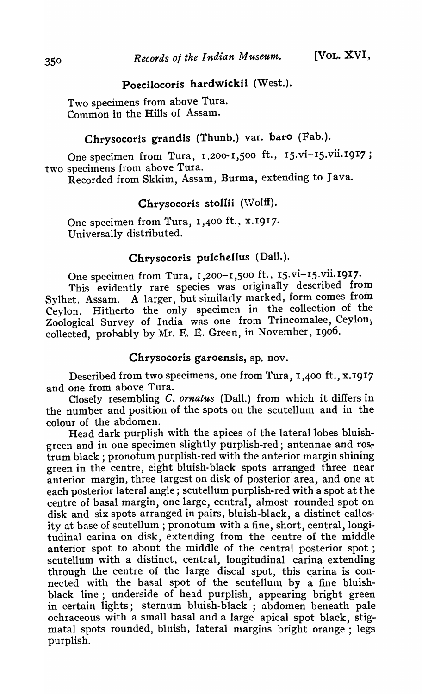# Poecilocoris hardwickii (West.).

Two specimens from above Tura. Common in the Hills of Assam.

# Chrysocoris grandis (Thunb.) var. baro (Fab.).

One specimen from Tura, 1,200-1,500 ft., 15.vi-15.vii.1917; two specimens from above Tura.

Recorded from Skkim, Assam, Burma, extending to Java.

# Chrysocoris stollii (Wolff).

One specimen from Tura, 1,400 ft., x.1917. Universally distributed.

# Chrysocoris pulchellus (Dall.).

One specimen from Tura, 1,200-1,500 ft., 15.vi-15.vii.1917. This evidently rare species was originally described from Sylhet, Assam. A larger, but similarly marked, form comes from Ceylon. Hitherto the only specimen in the collection of the Zoological Survey of India was one from Trincomalee, Ceylon, collected, prohably by  $Mr. E. E. Green, in November, 1906.$ 

# Chrysocoris garoensis, sp. nov.

Described from two specimens, one from Tura, I,400 ft., x.I917 and one from above Tura.

Closely resembling C. *ornatus* (Dalt.) from which it differs in the number and position of the spots on the scutellum and in the colour of the abdomen.

Head dark purplish with the apices of the lateral lobes bluishgreen and in one specimen slightly purplish-red; antennae and rostrum black; pronotum purplish-red with the anterior tnargin shining green in the centre, eight bluish-black spots arranged three near anterior margin, three largest on disk of posterior area, and one at each posterior lateral angle; scutellum purplish-red with a spot at the centre of basal margin, one large, central, almost rounded spot on disk and six spots arranged in pairs, bluish-black, a distinct callosity at base of scutellum; pronotum with a fine, short, central, longitudinal carina on disk, extending from the centre of the middle anterior spot to about the middle of the central posterior spot; scutellum with a distinct, central, longitudinal carina extending through the centre of the large discal spot, this carina is connected with the basal spot of the scutellum by a fine bluishblack line; underside of head purplish, appearing bright green in certain lights; sternum bluish-black ; abdomen beneath pale ochraceous with a small basal and a large apical spot black, stigmatal spots rounded, bluish, lateral margins bright orange; legs purplish.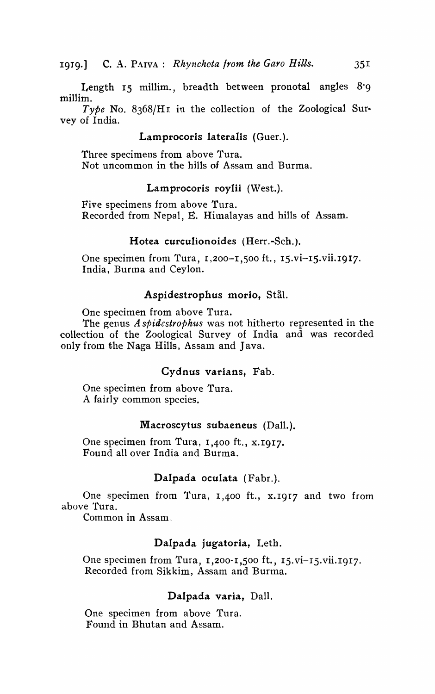Length 15 millim., breadth between pronotal angles 8.9 millim.

*Type* No. 8368/Hr in the collection of the Zoological Survey of India.

#### Lamprocoris lateralis (Guer.).

Three specimens from above Tura. Not uncommon in the hills of Assam and Burma.

#### Lamprocoris royIii (West.).

Five specimens from above Tura. Recorded from Nepal, E. Himalayas and hills of Assam.

#### Hotea curculionoides (Herr.-Sch.).

One specimen from Tura,  $1,200-1,500$  ft.,  $15.\overline{vi}$ -15.vii.1917. India, Burma and Ceylon.

#### Aspidestrophus morio, Stål.

One specimen from above Tura.

The genus A *spidcstrophus* was not hitherto represented in the collection of the Zoological Survey of India and was recorded only from the Naga Hills, Assam and Java.

#### Cydnus varians, Fab.

One specimen from above Tura. A fairly common species.

#### Macroscytus subaeneus (Dall.).

One specimen from Tura, 1,400 ft., x.1917. Found all over India and Burma.

# Dalpada oculata (Fabr.).

One specimen from Tura, 1,400 ft., x.I9I7 and two from above Tura.

Common in Assam.

# Dalpada jugatoria, Leth.

One specimen from Tura, 1,200-1,500 ft., 15.vi-15.vii.1917. Recorded from Sikkim, Assam and Burma.

# Dalpada varia, Dall.

One specimen from above Tura. Found in Bhutan and Assam.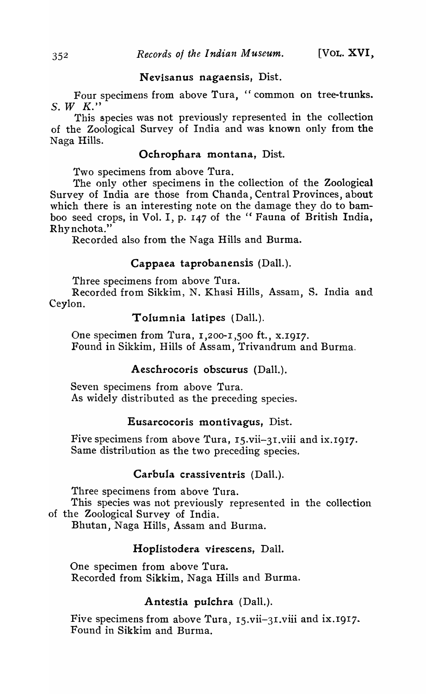#### Nevisanus nagaensis, Dist.

Four specimens from above Tura, "common on tree-trunks.  $S.$  *W*  $K.$ "

This species was not previously represented in the collection of the Zoological Survey of India and was known only from the Naga Hills.

# Ochrophara montana, Dist.

Two specimens from above Tura.

The only other specimens in the collection of the Zoological Survey of India are those from Chanda, Central Provinces, about which there is an interesting note on the damage they do to bamboo seed crops, in Vol. I, p. 147 of the "Fauna of British India, Rhy nchota."

Recorded also from the Naga Hills and Burma.

# Cappaea taprobanensis (Dall.).

Three specimens from above Tura.

Recorded from Sikkim, N. Khasi Hills, Assam, S. India and Ceylon.

#### Tolumnia latipes (Dall.).

One specimen from Tura, 1,200-1,500 ft., x.1917. Found in Sikkim, Hills of Assam, Trivandrum and Burma.

# Aeschrocoris obscurus (Dall.).

Seven specimens from above Tura. As widely distributed as the preceding species.

# Eusarcocoris montivagus, Dist.

Five specimens from above Tura, IS.vii-3I.viii and iX.I917. Same distribution as the two preceding species.

# Carbula crassiventris (Dall.).

Three specimens from above Tura.

This species was not previously represented in the collection of the Zoological Survey of India.

Bhutan, Naga Hills, Assam and Burma.

# Hoplistodera virescens, Dall.

One specimen from above Tura. Recorded from Sikkim, Naga Hills and Burma.

# Antestia pulchra (Dall.).

Five specimens from above Tura,  $15.$ vii-31.viii and ix.1917. Found in Sikkim and Burma.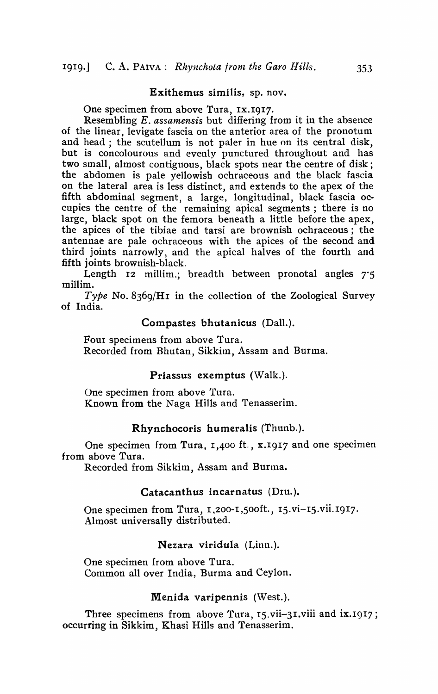#### Exithemus similis, sp. nov.

One specimen from above Tura, IX.IgI7.

Resembling *E. assamensis* but differing from it in the absence of the linear, levigate fascia on the anterior area of the pronotum and head; the scutellum is not paler in hue on its central disk, but is concolourous and evenly punctured throughout and has two small, almost contiguous, black spots near the centre of disk; the abdomen is pale yellowish ochraceous and the black fascia on the lateral area is less distinct, and extends to the apex of the fifth abdominal segment, a large, longitudinal, black fascia occupies the centre of the remaining apical segments ; there is no large, black spot on the femora beneath a little before the apex, the apices of the tibiae and tarsi are brownish ochraceous; the antennae are pale ochraceous with the apices of the second and third joints narrowly, and the apical halves of the fourth and fifth joints brownish-black.

Length 12 millim.; breadth between pronotal angles 7'5 millim.

*Type* No. 8369/Hr in the collection of the Zoological Survey of India.

#### Compastes bhutanicus (Dall.).

Four specimens from above Tura. Recorded from Bhutan, Sikkim, Assam and Burma.

#### Priassus exemptus (Walk.).

One specimen from above Tura. Known from the Naga Hills and Tenasserim.

#### Rhynchocoris humeralis (Thunb.).

One specimen from Tura,  $1,400$  ft.,  $x.1917$  and one specimen from above Tura.

Recorded from Sikkim, Assam and Burma.

#### Catacanthus incarnatus (Dru.).

One specimen from Tura, 1,200-1,500ft., 15.vi-15.vii.1917. Almost universally distributed.

#### Nezara viridula (Linn.).

One specimen from above Tura. Common all over India, Burma and Ceylon.

#### Menida varipennis (West.).

Three specimens from above Tura, 15.vii-31.viii and ix.1917; occurring in Sikkim, Khasi Hills and Tenasserim.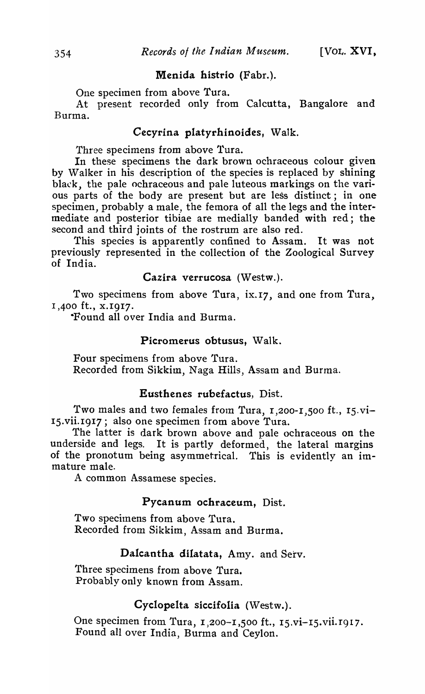# Menida histrio (Fabr.).

One specimen from above Tura.

At present recorded only from Calcutta, Bangalore and Burma.

# Cecyrina platyrhinoides, Walk.

Three specimens from above Tura.

In these specimens the dark brown ochraceous colour given by Walker in his description of the species is replaced by shining black, the pale ochraceous and pale luteous markings on the various parts of the body are present but are less distinct; in one specimen, probably a male, the femora of all the legs and the intermediate and posterior tibiae are medially banded with red; the second and third joints of the rostrum are also red.

This species is apparently confined to Assam. It was not previously represented in the collection of the Zoological Survey of India.

Cazira verrucosa (Westw.).

Two specimens from above Tura, ix. 17, and one from Tura, 1,400 ft., x.1917.

-Found all over India and Burma.

### Picromerus obtusus, Walk.

Four specimens from above 'fura. Recorded from Sikkim, Naga Hills, Assam and Burma.

#### Eusthenes rubefactus, Dist.

Two males and two females from Tura, 1,200-1,500 ft., 15.vi-IS.vii.1917; also one specimen from above Tura.

The latter is dark brown above and pale ochraceous on the underside and legs. It is partly deformed, the lateral margins of the pronotum being asymmetrical. This is evidently an immature male.

A common Assamese species.

#### Pycanum ochraceum, Dist.

Two specimens from above Tura. Recorded from Sikkim, Assam and Burma.

# Dalcantha dilatata, Amy. and Serv.

Three specimens from above Tura. Probably only known from Assam.

# Cyclopelta siccifolia (Westw.).

One specimen from Tura, 1,200-1,500 ft., 15.vi-15.vii.1917. Found all over India, Burma and Ceylon.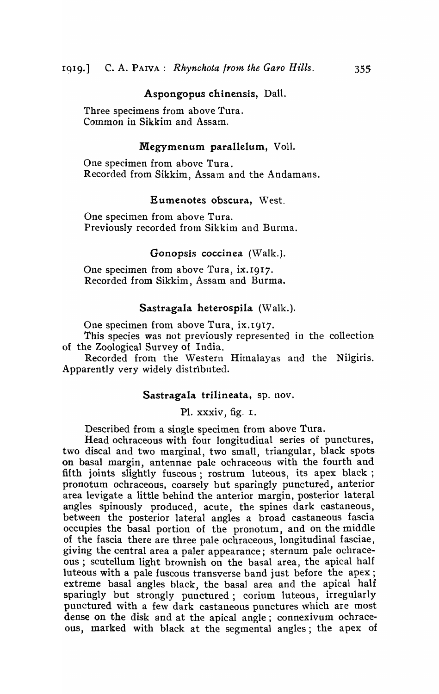#### Aspongopus chinensis, Dall.

Three specimens from above Tura. Common in Sikkim and Assam.

# Megymenum parallelum, Voll.

One specimen from above Tura. Recorded from Sikkim, Assam and the Andamans.

# Eumenotes obscura, West.

One specimen from above Tura. Previously recorded from Sikkim and Burma.

### Gonopsis coccinea (Walk.).

One specimen from above Tura, ix.1917. Recorded from Sikkim, Assam and Burma.

#### Sastragala heterospila (Walk.).

One specimen from above Tura, ix.1917.

*This* species was not previously represented in the collection of the Zoological Survey of India.

Recorded from the Western Himalayas and the Nilgiris. Apparently very widely distributed.

#### Sastragala trilineata, sp. nov.

PI. xxxiv, fig. I.

Described from a single specimen from above Tura.

Head ochraceous with four longitudinal series of punctures, two discal and two marginal, two small, triangular, black spots on basal margin, antennae pale ochraceous with the fourth and fifth joints slightly fuscous; rostrum luteous, its apex black; pronotum ochraceous, coarsely but sparingly punctured, anterior area levigate a little behind the anterior margin, posterior lateral angles spinously produced, acute, the spines dark castaneous, between the posterior lateral angles a broad castaneous fascia occupies the basal portion of the pronotum, and on the middle of the fascia there are three pale ochraceous, longitudinal fasciae) giving the central area a paler appearance; sternum pale ochraceous; scutellum light brownish on the basal area, the apical half luteous with a pale fuscous transverse band just before the apex; extreme basal angles black, the basal area and the apical half sparingly but strongly punctured; corium luteous, irregularly punctured with a few dark castaneous punctures which are most dense on the disk and at the apical angle; connexivum ochraceous, marked with black at the segmental angles; the apex of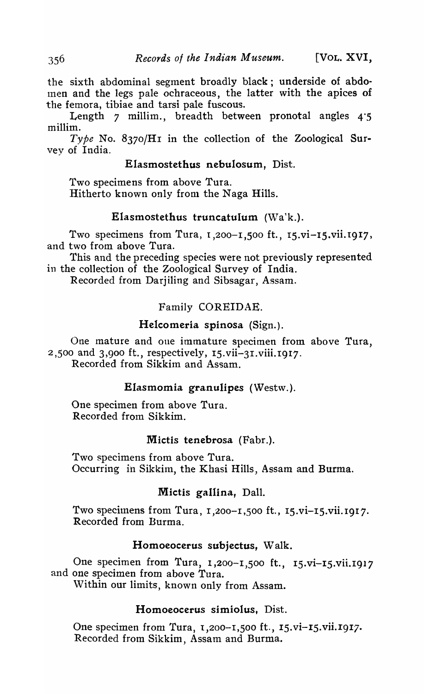the sixth abdominal segment broadly black; underside of abdolnen and the legs pale ochraceous, the latter with the apices of the femora, tibiae and tarsi pale fuscous.

Length 7 millim., breadth between pronotal angles 4·5 millim.

Type No. 8370/H1 in the collection of the Zoological Survey of India.

# Elasmostethus nebulosum, Dist.

Two specimens from above Tura. Hitherto known only from the Naga Hills.

# Elasmostethus truncatuIum (Wa'k.).

Two specimens from Tura, 1,200-1,500 ft., 15.vi-I5.vii. 1917, and tvvo from above Tura.

This and the preceding species were not previously represented in the collection of the Zoological Survey of India.

Recorded from Darjiling and Sibsagar, Assam.

# Family COREIDAE.

# Helcomeria spinosa (Sign.).

One mature and one immature specimen from above Tura, 2,SOO and 3,900 ft., respectively, IS.vii-31.viii.I917. Recorded from Sikkim and Assam.

# Elasmomia granulipes (Westw.).

One specimen from above Tura. Recorded from Sikkim.

#### Mictis tenebrosa (Fabr.).

Two specimens from above Tura. Occurring in Sikkim, the Khasi Hills, Assam and Burma.

# Mictis gallina, Dall.

Two specimens from Tura,  $1,200-1,500$  ft.,  $15.vi-15.vi$ i.1917. Recorded from Burma.

#### Homoeocerus subjectus, Walk.

One specimen from Tura, 1,200-1,500 ft., 15.vi-15.vii.1917 and one specimen from above Tura.

Within our limits, known only from Assam.

# Homoeocerus simiolus. Dist.

One specimen from Tura,  $1,200-1,500$  ft.,  $15.vi-15.vi.1917$ . Recorded from Sikkim, Assam and Burma.

356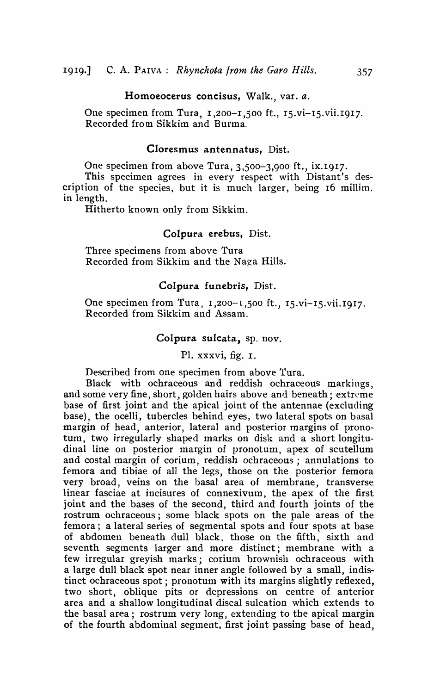#### Homoeocerus concisus, Walk., var. a.

One specimen from Tura, 1,200-1,500 ft., 15.vi-I5.vii.I917. Recorded from Sikkim and Burma.

# Cloresmus antennatus, Dist.

One specimen from above Tura, 3,500-3,900 ft., ix.1917.

This specimen agrees in every respect with Distant's description of the species, but it is much larger, being 16 millim. in length.

Hitherto known only from Sikkim.

#### Colpura erebus, Dist.

Three specimens from above Tura Recorded from Sikkim and the Naga Hills.

#### Colpura funebris, Dist.

One specimen from Tura,  $1,200-1,500$  ft.,  $15.vi-15.vi$ i.1917. Recorded from Sikkim and Assam.

#### Colpura sulcata, sp. nov.

PI. xxxvi, fig. I.

Described from one specimen from above Tura.

Black with ochraceous and reddish ochraceous markings, and some very fine, short, golden hairs above and beneath; extreme base of first joint and the apical joint of the antennae (excluding base), the ocelli, tubercles behind eyes, two lateral spots on basal margin of head, anterior, lateral and posterior margins of pronotum, two irregularly shaped marks on disk and a short longitudinal line on posterior margin of pronotum, apex of scutellum and costal margin of corium, reddish ochraceous; annulations to femora and tibiae of all the legs, those on the posterior femora very broad, veins on the basal area of membrane, transverse linear fasciae at incisures of connexivum, the apex of the first joint and the bases of the second, third and fourth joints of the rostrum ochraceous; some black spots on the pale areas of the femora; a lateral series of segmental spots and four spots at base of abdomen beneath dull black, those on the fifth, sixth and seventh segments larger and more distinct; membrane with a few irregular greyish marks; corium brownish ochraceous with a large dull black spot near inner angle followed by a small, indistinct ochraceous spot; pronotum with its margins slightly reflexed, two short, oblique pits or depressions on centre of anterior area and a shallow longitudinal discal sulcation which extends to the basal area; rostrum very long, extending to the apical margin of the fourth abdominal segment, first joint passing base of head,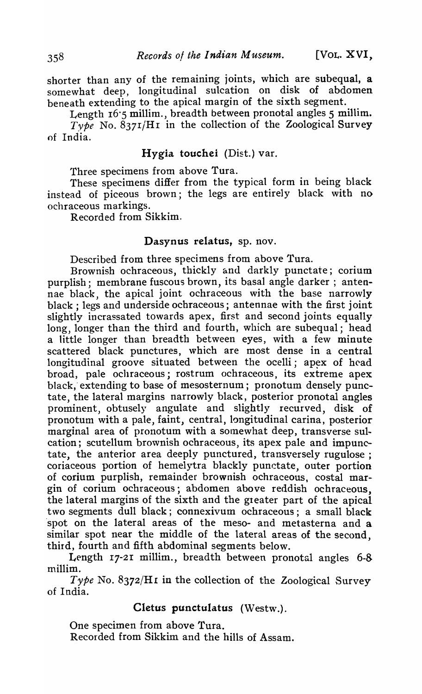shorter than any of the remaining joints, which are subequal, a somewhat deep, longitudinal sulcation on disk of abdomen beneath extending to the apical margin of the sixth segment.

Length 16.5 millim., breadth between pronotal angles 5 millim. *Type* No. 8371/Hr in the collection of the Zoological Survey of India.

#### Hygia touchei (Dist.) var.

Three specimens from above Tura.

These specimens differ from the typical form in being black instead of piceous brown; the legs are entirely black with no ochraceous markings.

Recorded from Sikkim.

#### Dasynus relatus, sp. nov.

Described from three specimens from above Tura.

Brownish ochraceous, thickly and darkly punctate; corium purplish; membrane fuscous brown, its basal angle darker; antennae black, the apical joint ochraceous with the base narrowly black; legs and underside ochraceous; antennae with the first joint slightly incrassated towards apex, first and second joints equally long, longer than the third and fourth, which are subequal; head a little longer than breadth between eyes, with a few minute scattered black punctures, which are most dense in a central longitudinal groove situated between the ocelli; apex of head broad, pale ochraceous; rostrum ochraceous, its extreme apex black, extending to base of mesosternum; pronotum densely punctate, the lateral margins narrowly black, posterior pronotal angles prominent, obtusely angulate and slightly recurved, disk of pronotum with a pale, faint, central, longitudinal carina, posterior marginal area of pronotum with a somewhat deep, transverse sulcation; scutellum brownish ochraceous, its apex pale and impunctate, the anterior area deeply punctured, transversely rugulose ; coriaceous portion of hemelytra blackly punctate, outer portion of corium purplish, remainder brownish ochraceous, costal margin of corium ochraceous; abdomen above reddish ochraceous, the lateral margins of the sixth and the greater part of the apical two segments dull black; connexivum ochraceous; a small black spot on the lateral areas of the meso- and metasterna and a similar spot near the middle of the lateral areas of the second, third, fourth and fifth abdomina1 segments below.

Length  $17-21$  millim., breadth between pronotal angles 6-8 millim.

*Type* No. 8372/H1 in the collection of the Zoological Survey of India.

# Cletus punctulatus (Westw.).

One specimen from above Tura. Recorded from Sikkim and the hills of Assam.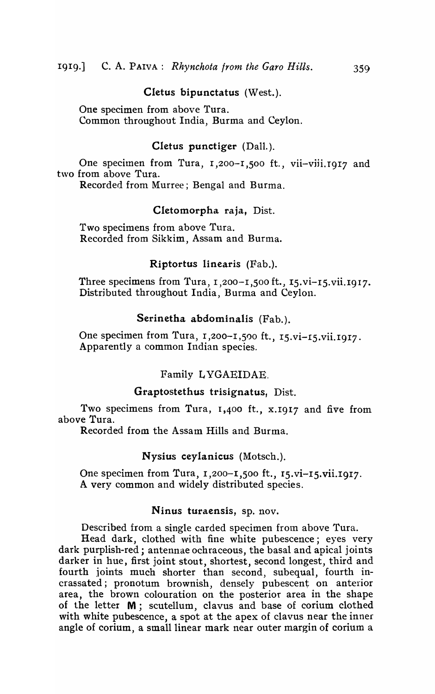#### Cletus bipunctatus (West.).

One specimen from above Tura. Common throughout India, Burma and Ceylon.

# Cletus punctiger (Dall.).

One specimen from Tura, 1,200-1,500 ft., vii-viii. 1917 and two from above Tura.

Recorded from Murree; Bengal and Burma.

#### Cletomorpha raja, Dist.

Two specimens from above Tura. Recorded from Sikkim, Assam and Burma.

#### Riptortus linearis (Fab.).

Three specimens from Tura,  $1,200-1,500$  ft.,  $15.vi-15.vii.1917$ . Distributed throughout India, Burma and Ceylon.

# Serinetha abdominalis (Fab.).

One specimen from Tura, 1,200-1,500 ft., 15.vi-15.vii.1917. Apparently a common Indian species.

#### Family L YGAEIDAE.

#### Graptostethus trisignatus, Dist.

Two specimens from Tura, 1,400 ft., x.1917 and five from above Tura.

Recorded from the Assam Hills and Burma.

#### Nysius ceylanicus (Motsch.).

One specimen from Tura, 1,200-1,500 ft., 15.vi-15.vii.1917. A very common and widely distributed species.

# Ninus turaensis, sp. nov.

Described from a single carded specimen from above Tura.

Head dark, clothed with fine white pubescence; eyes very dark purplish-red; antennae ochraceous, the basal and apical joints darker in hue, first joint stout, shortest, second longest, third and fourth joints much shorter than second, subequal, fourth incrassated; pronotum brownish, densely pubescent on anterior area, the brown colouration on the posterior area in the shape of the letter M; scutellum, clavus and base of corium clothed with white pubescence, a spot at the apex of clavus near the inner angle of corium, a small linear mark near outer margin of corium a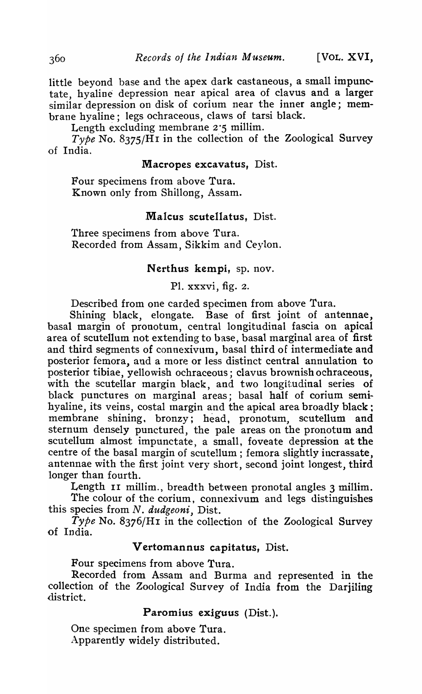little beyond base and the apex dark castaneous, a small impunctate, hyaline depression near apical area of clavus and a larger similar depression on disk of corium near the inner angle; membrane hyaline; legs ochraceous, claws of tarsi black.

Length excluding membrane  $2.5$  millim.

*Type* No. 8375/HI in the collection of the Zoological Survey of India.

# Macropes excavatus, Dist.

Four specimens from above Tura. Known only from Shillong, Assam.

# Malcus scutellatus. Dist.

Three specimens from above Tura. Recorded from Assam, Sikkim and Ceylon.

#### Nerthus kempi, sp. nov.

PI. xxxvi, fig. 2.

Described from one carded specimen from above Tura.

Shining black, elongate. Base of first joint of antennae, basal margin of pronotum, central longitudinal fascia on apical area of scutellum not extending to base, basal marginal area of first and third segments of connexivum, basal third of intermediate and posterior femora, and a more or less distinct central annulation to posterior tibiae, yellowish ochraceous; clavus brownish ochraceous, with the scutellar margin black, and two longitudinal series of black punctures on marginal areas; basal half of corium semihyaline, its veins, costal margin and the apical area broadly black; membrane shining, bronzy; head, pronotum, scutellum and sternum densely punctured, the pale areas on the pronotum and scutellum almost impunctate, a small, foveate depression at the centre of the basal margin of scutellum; femora slightly incrassate, antennae with the first joint very short, second joint longest, third longer than fourth.

Length II millim., breadth between pronotal angles 3 millim.

The colour of the corium, connexivum and legs distinguishes this species from *N. dudgeoni,* Dist.

*Type* No. 8376/H1 in the collection of the Zoological Survey of India.

#### Vertomannus capitatus, Dist.

Four specimens from above Tura.

Recorded from Assam and Burma and represented in the collection of the Zoological Survey of India from the Darjiling district.

# Paromius exiguus (Dist.).

One specimen from above Tura. Apparently widely distributed.

360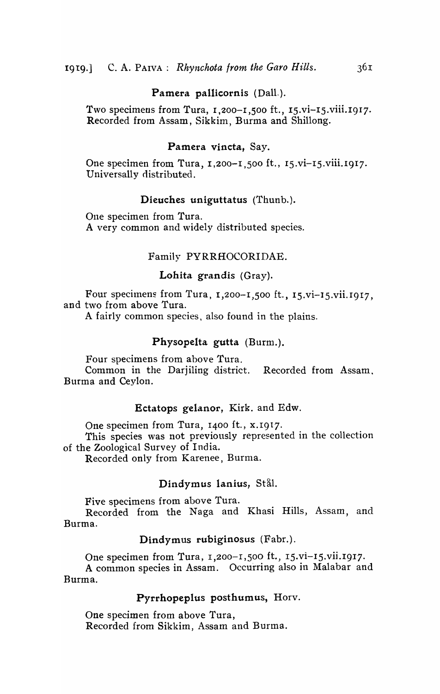#### Pamera pallicornis (Dall.).

Two specimens from Tura,  $1,200-1,500$  ft.,  $15.vi-15.viii.1917$ . Recorded from Assam, Sikkim, Burma and Shillong.

#### Pamera vincta, Say.

One specimen from Tura, 1,200-1,500 ft., 15.vi-15.viii.1917. Universally distributed.

#### Dieuches uniguttatus (Thunb.).

One specimen from Tura. A very common and widely distributed species.

#### Family PYRRHOCORIDAE.

#### Lohita grandis (Gray).

Four specimens from Tura,  $1,200-1,500$  ft.,  $15.vi-15.vi1.1917$ , and two from above Tura.

A fairly common species, also found in the plains.

# Physopelta gutta (Burm.).

Four specimens from above Tura.

Common in the Darjiling district. Recorded from Assam. Burma and Ceylon.

#### Ectatops gelanor, Kirk. and Edw.

One specimen from Tura, 1400 ft., x.1917.

This species was not previously represented in the collection of the Zoological Survey of India.

Recorded only from Karenee, Burrna.

#### Dindymus lanius, Stål.

Five specimens from above Tura.

Recorded from the Naga and Khasi Hills, Assam, and Burma.

#### Dindymus rubiginosus (Fabr.).

One specimen from Tura, 1,200-1,500 ft., 15.vi-15.vii.I917· A common species in Assam. Occurring also in Malabar and Burma.

#### Pyrrhopeplus posthumus, Horv.

One specimen from above Tura, Recorded from Sikkim, Assam and Burma.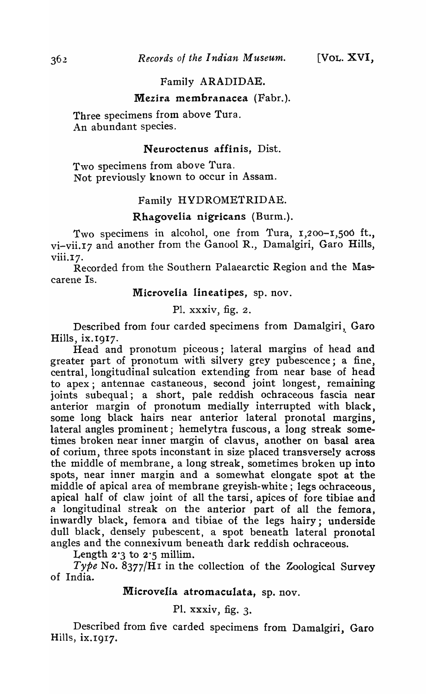# Family ARADIDAE.

#### Mezira membranacea (Fabr.).

Three specimens from above Tura. An abundant species.

#### Neuroctenus affinis, Dist.

Two specimens from above Tura. Not previously known to occur in Assam.

# Family HYDROMETRIDAE.

### Rhagovelia nigricans (Burm.).

Two specimens in alcohol, one from Tura, 1,200-1,500 ft., vi-vii. 17 and another from the Ganool R., Damalgiri, Garo Hills,  $viii.17.$ 

Recorded from the Southern Palaearctic Region and the Mascarene Is.

MicroveIia lineatipes, sp. nov.

PI. xxxiv, fig. 2.

Described from four carded specimens from Damalgiri, Garo Hills, ix.1917.

Head and pronotum piceous; lateral margins of head and greater part of pronotum witli silvery grey pubescence; a fine, central, longitudinal sulcation extending from near base of head to apex; antennae castaneous, second joint longest, remaining joints subequal; a short, pale reddish ochraceous fascia near anterior margin of pronotum medially interrupted with black, some long black hairs near anterior lateral pronotal margins, lateral angles prominent; hemelytra fuscous, a long streak sometimes broken near inner margin of clavus, another on basal area of corium, three spots inconstant in size placed transversely across the middle of membrane, a long streak, sometimes broken up into spots, near inner margin and a somewhat elongate spot at the middle of apical area of membrane greyish-white; legs ochraceous, apical half of claw joint of all the tarsi, apices of fore tibiae and a longitudinal streak on the anterior part of all the femora, inwardly black, femora and tibiae of the legs hairy; underside dull black, densely pubescent, a spot beneath lateral pronotal angles and the connexivum beneath dark reddish ochraceous.

Length  $2.3$  to  $2.5$  millim.

*Type* No. 8377/H1 in the collection of the Zoological Survey of India.

# MicroveIia atromaculata, sp. nov.

# Pl. xxxiv, fig. 3.

Described from five carded specimens from Damalgiri, Garo Hills, iX.I917.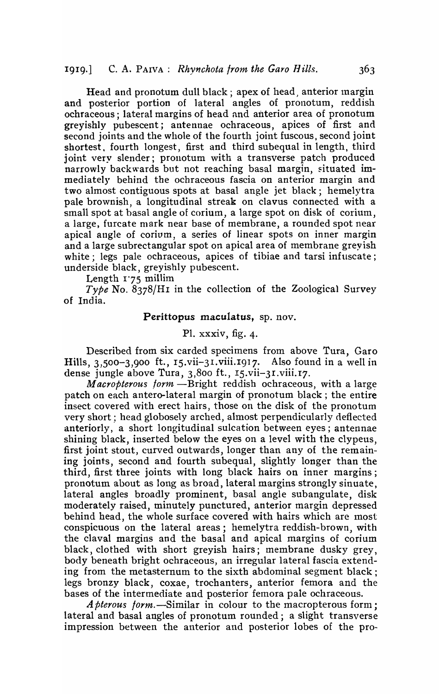Head and pronotum dull black; apex of head, anterior margin and posterior portion of lateral angles of pronotum, reddish ochraceous; lateral margins of head and anterior area of pronotum greyishly pubescent; antennae ochraceous, apices of first and second joints and the whole of the fourth joint fuscous, second joint shortest. fourth longest, first and third subequal in length, third joint very slender; pronotum with a transverse patch produced narrowly backwards but not reaching basal margin, situated immediately behind the ochraceous fascia on anterior margin and two almost contiguous spots at basal angle jet black; hemelytra pale brownish, a longitudinal streak on clavus connected with a small spot at basal angle of corium, a large spot on disk of corium, a large, furcate mark near base of membrane, a rounded spot near apical angle of corium, a series of linear spots on inner margin and a large subrectangular spot on apical area of membrane greyish white; legs pale ochraceous, apices of tibiae and tarsi infuscate; underside black, greyishly pubescent.

Length 1"75 millim

*Type* No. 8378/H1 in the collection of the Zoological Survey of India.

#### Perittopus maculatus, sp. nov.

# PI. xxxiv, fig. 4.

Described from six carded specimens from above Tura, Garo Hills, 3,500-3,900 ft., 15.vii-3I.viii.I917. Also found in a well in dense jungle above Tura, 3,800 ft., I5.vii-3I.viii.I7.

*Macropterous form* -Bright reddish ochraceous, with a large patch on each antero-Iateral margin of pronotum black; the entire insect covered with erect hairs, those on the disk of the pronotum very short; head globosely arched, almost perpendicularly deflected anteriorly, a short longitudinal sulcation between eyes; antennae shining black, inserted below the eyes on a level with the clypeus, first joint stout, curved outwards, longer than any of the remaining joints, second and fourth subequal, slightly longer than the third, first three joints with long black hairs on inner margins; pronotum about as long as broad, lateral margins strongly sinuate, lateral angles broadly prominent, basal angle subangulate, disk moderately raised, minutely punctured, anterior margin depressed behind head, the whole surface covered with hairs which are most conspicuous on the lateral areas; hemelytra reddish-brown, with the claval margins and the basal and apical margins of corium black, clothed with short greyish hairs; membrane dusky grey, body beneath bright ochraceous, an irregular lateral fascia extending from the metasternum to the sixth abdominal segment black; legs bronzy black, coxae, trochanters, anterior femora and the bases of the intermediate and posterior femora pale ochraceous.

*A pterous form.*—Similar in colour to the macropterous form; lateral and basal angles of pronotum rounded; a slight transverse impression between the anterior and posterior lobes of the pro-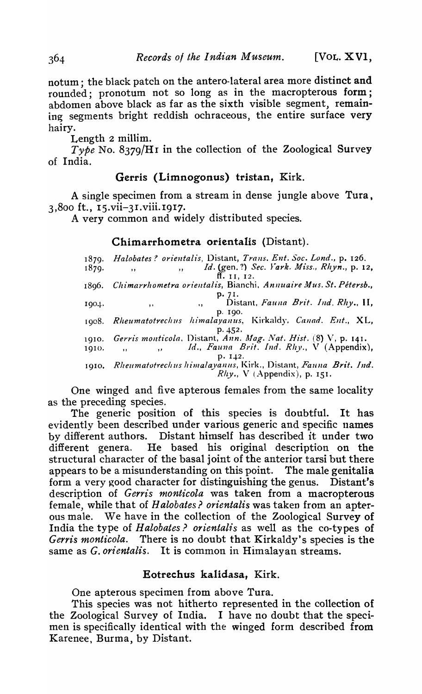notum; the black patch on the antero-Iateral area more distinct and rounded; pronotum not so long as in the macropterous form; abdomen above black as far as the sixth visible segment, remaining segments bright reddish ochraceous, the entire surface very hairy.

Length  $2$  millim.

*Type* No. 8379/Hr in the collection of the Zoological Survey of India.

# Gerris (Limnogonus) tristan, Kirk.

A single specimen from a stream in dense jungle above Tura,  $3,800$  ft.,  $15.\text{vii}-31.\text{viii}$ .  $1917.$ 

A very common and widely disttibuted species.

# Chimarrhometra orientalis (Distant).

1879. *Halobates? orieutalis,* Distant, *Trans. Ent. Soc. Lond.,* p. 126. <sup>18</sup>79'" *"Id.* (gen. 1) *Sec. Yark. M-iss., Rhyn.,* p. 12, ff. 11, 12. 1896. Chimarrhometra orientalis, Bianchi. Annuaire Mus. St. Pétersb., P·71. 1904. " ., Distant, *Fauna Brit. Ind. Rhy.,* II, p. Igo. 1908. *Rheumatotrechus himalayanus*, Kirkaldy. Canad. Ent., XL, p. 452. 1910. *Gerris monticola. Distant, Ann. Mag. Nat. Hist.* (8) V, p. 141.<br>1910. <sup>Id., Fauna Brit. Ind. Rhy., V (Appendix),</sup> p. 142. 1910. *Rheumatotrechus himalayanus*, Kirk., Distant, *Fauna Brit. Ind.*  $Rhy.$ , V (Appendix), p. 151.

One winged and five apterous females from the same locality as the preceding species,

The generic position of this species is doubtful. It has evidently been described under various generic and specific names by different authors. Distant himself has described it under two different genera. He based his original description on the structural character of the basal joint of the anterior tarsi but there appears to be a misunderstanding on this point. The male genitalia form a very good character for distinguishing the genus. Distant's description of *Gerris monticola* was taken from a macropterous female, while that of *Halobates? orientalis* was taken from an apterous male. We have in the collection of the Zoological Survey of India the type of *Halobates? orientalis* as well as the co-types of *Gerris monticola.* There is no doubt that Kirkaldy's species is the same as *G. orientalis*. It is common in Himalayan streams.

# Eotrechus kalidasa, Kirk.

One apterous specimen from above Tura.

This species was not hitherto represented in the collection of the Zoological Survey of India. I have no doubt that the specimen is specifically identical with the winged form described from Karenee, Burma, by Distant.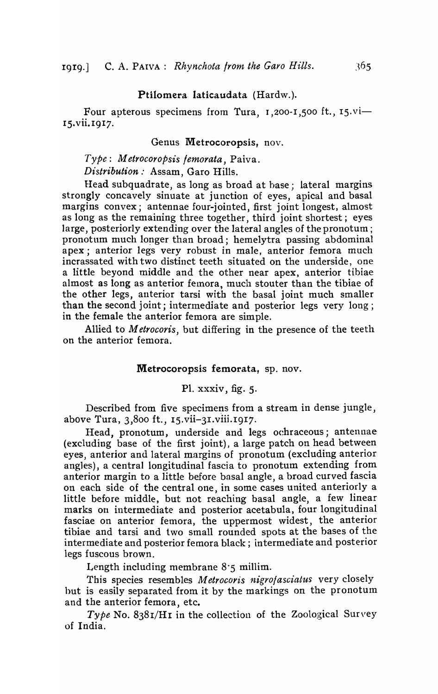#### Ptilomera Iaticaudata (Hardw.).

Four apterous specimens from Tura,  $1,200$ -1,500 ft.,  $15.\text{vi}-$ 15.vii. 1917.

#### Genus Metrocoropsis, nov.

*Type:* 1.\1 *etrocoropsis femorata,* Paiva. *Distribution:* Assam, Garo Hills.

Head subquadrate, as long as broad at base; lateral margins strongly concavely sinuate at junction of eyes, apical and basal margins convex; antennae four-jointed, first joint longest, almost as long as the remaining three together, third joint shortest; eyes large, posteriorly extending over the lateral angles of the pronotum ; pronotum much longer than broad; hemelytra passing abdominal apex; anterior legs very robust in male, anterior femora much incrassated with two distinct teeth situated on the underside, one a little beyond middle and the other near apex, anterior tibiae almost as long as anterior femora, much stouter than the tibiae of the other legs, anterior tarsi with the basal joint much smaller than the second joint; intermediate and posterior legs very long; in the female the anterior femora are simple.

Allied to *M etrocoris,* but differing in the presence of the teeth on the anterior femora.

#### Metrocoropsis femorata, sp. nov.

PI. xxxiv, fig. 5.

Described from five specimens from a stream in dense jungle, above Tura, 3,800 ft., IS.vii-3I.viii.I9I7.

Head, pronotum, underside and legs oehraceous; antennae (excluding base of the first joint), a large patch on head between eyes, anterior and lateral margins of pronotum (excluding anterior angles), a central longitudinal fascia to pronotum extending from anterior margin to a little before basal angle, a broad curved fascia on each side of the central one, in some cases united anteriorly a little before middle, but not reaching basal angle, a few linear marks on intermediate and posterior acetabula, four longitudinal fasciae on anterior femora, the uppermost widest, the anterior tibiae and tarsi and two small rounded spots at the bases of the intermediate and posterior femora black; intermediate and posterior legs fuscous brown.

Length including membrane  $8:5$  millim.

This species resembles *Metrocoris nigrofasciatus* very closely hut is easily separated from it by the markings on the pronotum and the anterior femora, etc.

*Type* No. 838I/HI in the collection of the Zoological Survey of India.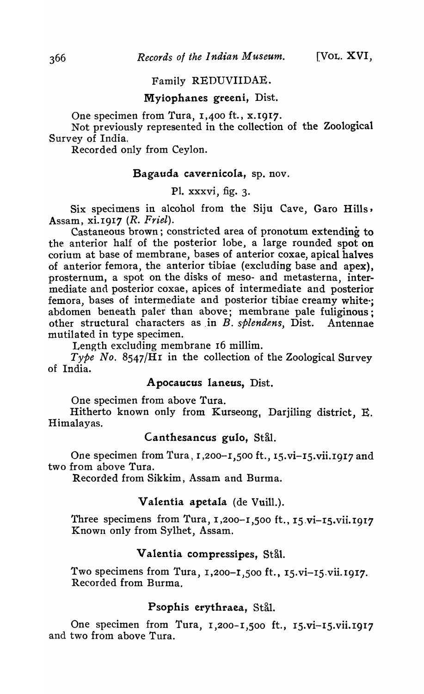# Family REDUVIIDAE.

#### Myiophanes greeni, Dist.

One specimen from Tura, 1,400 ft., x.1917.

Not previously represented in the collection of the Zoological Survey of India.

Recorded only from Ceylon.

# Bagauda cavernicola, sp. nov.

PI. xxxvi, fig. 3.

Six specimens in alcohol from the Siju Cave, Garo Hills, Assam, xi.I9I7 (R. *Friel).* 

Castaneous brown; constricted area of pronotum extending to the anterior half of the posterior lobe, a large rounded spot on corium at base of membrane, bases of anterior coxae, apical halves of anterior femora, the anterior tibiae (excluding base and apex), prosternum, a spot on the disks of meso- and metasterna, intermediate and posterior coxae, apices of intermediate and posterior femora, bases of intermediate and posterior tibiae creamy white; abdomen beneath paler than above; membrane pale fuliginous; other structural characters as in B. *splendens*, Dist. Antennae mutilated in type specimen.

Length excluding membrane 16 millim.

*Type No.* 8547/HI in the collection of the Zoological Survey of India.

### Apocaucus laneus, Dist.

One specimen from above Tura.

Hitherto known only from Kurseong, Darjiling district, E. Himalayas.

# Canthesancus gulo, Stål.

One specimen from Tura, 1,200-1,500 ft., 15.vi-15.vii.1917 and two from above Tura.

Recorded from Sikkim, Assam and Burma.

#### Valentia apetala (de Vuill.).

Three specimens from Tura, 1,200-1,500 ft., 15 vi-15 vii.1917 Known only from Sylhet, Assam.

#### Valentia compressipes, Stål.

Two specimens from Tura, 1,200-1,500 ft., 15.vi-15.vii.1917. Recorded from Burma.

### Psophis erythraea, Stål.

One specimen from Tura, 1,200-1,500 ft., 15.vi-15.vii.1917 and two from above Tura.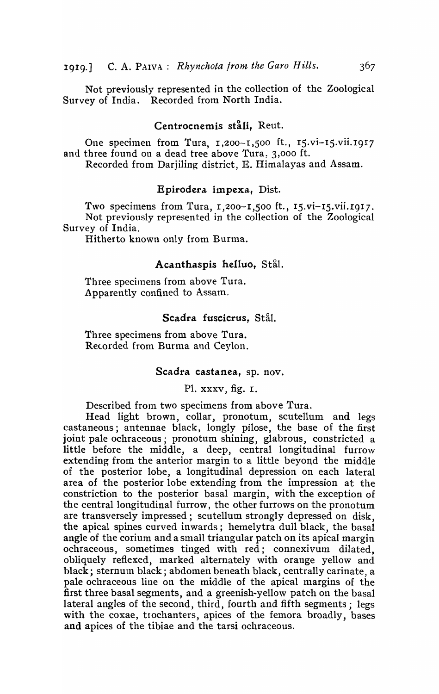Not previously represented in the collection of the Zoological Survey of India. Recorded from North India.

#### Centrocnemis ståli. Reut.

One specimen from Tura, 1,200-1,500 ft., 15.vi-15.vii.1917 and three found on a dead tree above Tura, 3,000 ft. Recorded from Darjiling district, E. Himalayas and Assam.

#### Epirodera impexa, Dist.

'fwo specimens from Tura, 1,200-1,500 ft., 15.vi-I5.vii.I9I7. Not previously represented in the collection of the Zoological Survey of India.

Hitherto known only from Burma.

# Acanthaspis helluo, Stål.

Three specimens from above Tura. Apparently confined to Assam.

#### Scadra fuscicrus, Stål.

Three specimens from above Tura. Retorded from Burma and Ceylon.

#### Scadra castanea, sp. nov.

PI. xxxv, fig. I.

Described from two specimens from above Tura.

Head light brown, collar, pronotum, scutellum and legs castaneous; antennae black, longly pilose, the base of the first joint pale ochraceous; pronotum shining, glabrous, constricted a little before the middle, a deep, central longitudinal furrow extending from the anterior margin to a little beyond the middle of the posterior lobe, a longitudinal depression on each lateral area of the posterior lobe extending from the impression at the constriction to the posterior basal margin, with the exception of the central longitudinal furrow, the other furrows on the pronotum are transversely impressed; scutellum strongly depressed on disk, the apical spines curved inwards; hemelytra dull black, the basal angle of the corium and a small triangular patch on its apical margin ochraceous, sometimes tinged with red; connexivum dilated. obliquely reflexed, marked alternately with orange yellow and black; sternum black; abdomen beneath black, centrally carinate, a pale ochraceous line on the middle of the apical margins of the first three basal segments, and a greenish-yellow patch on the basal lateral angles of the second, third, fourth and fifth segments; legs with the coxae, trochanters, apices of the femora broadly, bases and apices of the tibiae and the tarsi ochraceous.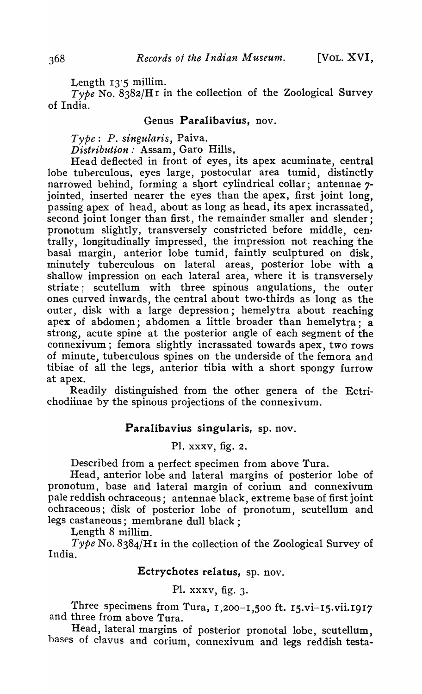Length  $13.5$  millim.

*Type* No. 8382/H1 in the collection of the Zoological Survey of India.

### Genus Paralibavius, nov.

*Type: P. singularis,* Paiva.

*Distribution:* Assam, Garo Hills,

Head deflected in front of eyes, its apex acuminate, central lobe tuberculous, eyes large, postocular area tumid, distinctly narrowed behind, forming a short cylindrical collar; antennae 7jointed, inserted nearer the eyes than the apex, first joint long, passing apex of head, about as long as head, its apex incrassated, second joint longer than first, the remainder smaller and slender: pronotum slightly, transversely constricted before middle, centrally, longitudinally impressed, the impression not reaching the basal margin, anterior lobe tumid, faintly sculptured on disk, minutely tuberculous on lateral areas, posterior lobe with a shallow impression on each lateral area, where it is transversely striate; scutellum with three spinous angulations, the outer ones curved inwards, the central about two-thirds as long as the outer, disk with a large depression; hemelytra about reaching apex of abdomen; abdomen a little broader than hemelytra; a strong, acute spine at the posterior angle of each segment of the connexivum; femora slightly incrassated towards apex, two rows of minute, tuberculous spines on the underside of the femora and tibiae of all the legs, anterior tibia with a short spongy furrow at apex.

Readily distinguished from the other genera of the Ectrichodiinae by the spinous projections of the connexivum·.

#### Paralibavius singularis, sp. nov.

PI. xxxv, fig. 2.

Described from a perfect specimen from above Tura.

Head, anterior lobe and lateral margins of posterior lobe of pronotum, base and lateral margin of corium and connexivum pale reddish ochraceous; antennae black, extreme base of first joint ochraceous; disk of posterior lobe of pronotum, scutellum and legs castaneous; membrane dull black;

Length  $8$  millim.

*Type* No. 8384/Hr in the collection of the Zoological Survey of India.

# Ectrychotes relatus, sp. nov.

# PI. xxxv, fig. 3.

Three specimens from Tura,  $1,200-1,500$  ft.  $15.vi-15.vi$ i.1917 and three from above Tura.

Head, lateral margins of posterior pronotal lobe, scutellum, bases of clavus and corium, connexivum and legs reddish testa-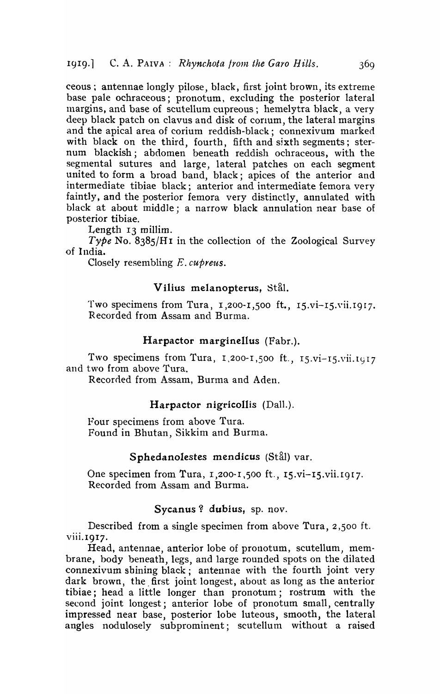ceous; antennae longly pilose, black, first joint brown, its extreme base pale ochraceous; pronotum, excluding the posterior lateral margins, and base of scutellum cupreous; hemelytra black, a very deep black patch on clavus and disk of corium, the lateral margins and the apical area of corium reddish-black; connexivum marked with black on the third, fourth, fifth and sixth segments; sternum blackish; abdomen beneath reddish ochraceous, with the segmental sutures and large, lateral patches on each segment united to form a broad band, black; apices of the anterior and intermediate tibiae black; anterior and intermediate femora very faintly, and the posterior femora very distinctly, annulated with black at about middle; a narrow black annulation near base of posterior tibiae.

Length  $13$  millim.

*Type* No. 8385/H<sub>I</sub> in the collection of the Zoological Survey of India.

Closely resembling E. *cupreus.* 

# Vilius melanopterus, Stål.

Two specimens from Tura,  $1,200-1,500$  ft.,  $15.7i-15.7i$ i,  $1917$ . Recorded from Assam and Burma.

#### Harpactor marginellus (Fabr.).

Two specimens from Tura,  $1,200-1,500$  ft.,  $15.vi-15.vii.1917$ and two from above Tura.

Recorded from Assam, Burma and Aden.

#### Harpactor nigricollis (Dall.).

Four specimens from above Tura. Found in Bhutan, Sikkim and Burma.

#### Sphedanolestes mendicus (Stål) var.

One specimen from Tura, 1,200-1,500 ft., 15.vi-15.vii.1917. Recorded from Assam and Burma.

#### Sycanus? dubius, sp. nov.

Described from a single specimen from above Tura, 2,500 ft. viii. 1917.

Head, antennae, anterior lobe of pronotum, scutellum, membrane, body beneath, legs, and large rounded spots on the dilated connexivum shining black; antennae with the fourth joint very dark brown, the first joint longest, about as long as the anterior tibiae; head a little longer than pronotum; rostrum with the second joint longest; anterior lobe of pronotum small, centrally impressed near base, posterior lobe luteous, smooth, the lateral angles nodulosely subprominent; scutellum without a raised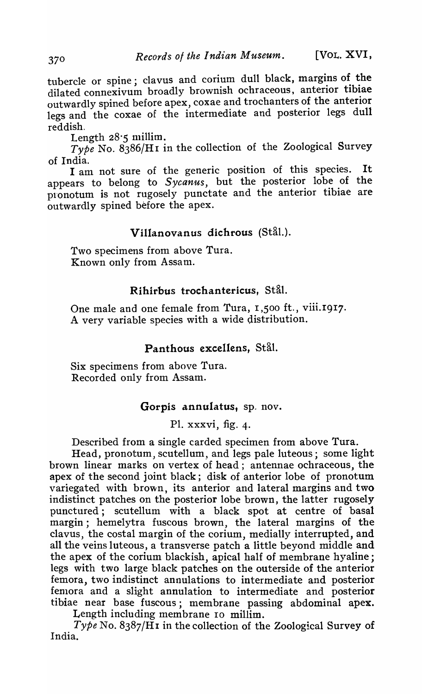tubercle or spine; clavus and corium dull black, margins of the dilated connexivum broadly brownish ochraceous, anterior tibiae outwardly spined before apex, coxae and trochanters of the anterior legs and the coxae of the intermediate and posterior legs dull reddish.

Length  $28:5$  millim.

*Type* No. 8386/H1 in the collection of the Zoological Survey of India.

I am not sure of the generic position of this species. It appears to belong to *Sycanus,* but the posterior lobe of the pronotum is not rugosely punctate and the anterior tibiae are outwardly spined before the apex.

# Villanovanus dichrous (Stål.).

Two specimens from above Tura. Known only from Assam.

### Rihirbus trochantericus, Stål.

One male and one female from Tura, 1,500 ft., viii.1917. A very variable species with a wide distribution.

# Panthous excellens, Stål.

Six specimens from above Tura. Recorded only from Assam.

# Gorpis annulatus, sp. nov.

PI. xxxvi, fig. 4.

Described from a single carded specimen from above Tura.

Head, pronotum, scutellum, and legs pale luteous; some light brown linear marks on vertex of head; antennae ochraceous, the apex of the second joint black; disk of anterior lobe of pronotum variegated with brown, its anterior and lateral margins and two indistinct patches on the posterior lobe brown, the latter rugosely punctured; scutellum with a black spot at centre of basal margin; hemelytra fuscous brown, the lateral margins of the clavus, the costal margin of the corium, medially interrupted, and all the veins luteous, a transverse patch a little beyond middle and the apex of the corium blackish, apical half of membrane hyaline; legs with two large black patches on the outerside of the anterior femora, two indistinct annulations to intermediate and posterior femora and a slight annulation to intermediate and posterior tibiae near base fuscous; membrane passing abdominal apex.

Length including membrane 10 millim.

*Type* No. 8387/H I in the collection of the Zoological Survey of India.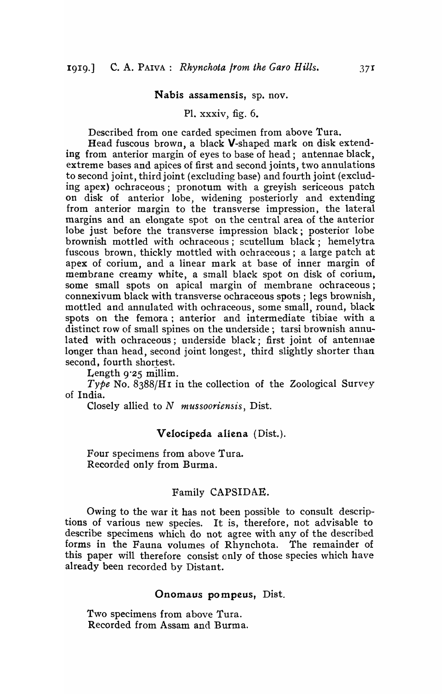#### Nabis assamensis, sp. nov.

#### PI. xxxiv, fig. 6.

Described from one carded specimen from above Tura.

Head fuscous brown, a black V-shaped mark on disk extending from anterior margin of eyes to base of head; antennae black, extreme bases and apices of first and second joints, two annulations to second joint, third joint (excluding base) and fourth joint (excluding apex) ochraceous; pronotum with a greyish sericeous patch on disk of anterior lobe, widening posteriorly and extending from anterior margin to the transverse impression, the lateral margins and an elongate spot on the central area of the anterior lobe just before the transverse impression black; posterior lobe brownish mottled with ochraceous; scutellum black; hemelytra fuscous brown, thickly mottled with ochraceous; a large patch at apex of corium, and a linear mark at base of inner margin of membrane creamy white, a small black spot on disk of corium, some small spots on apical margin of membrane ochraceous; connexivum black with transverse ochraceous spots; legs brownish, mottled and annulated with ochraceous, some small, round, black spots on the femora; anterior and intermediate tibiae with a distinct row of small spines on the underside; tarsi brownish annulated with ochraceous; underside black; first joint of antennae longer than head, second joint longest, third slightly shorter than second, fourth shortest.

Length  $9.25$  millim.

*Type* No. 8388/Hr in the collection of the Zoological Survey of India.

Closely allied to N *mussooriensis,* Dist.

#### Velocipeda aliena (Dist.).

Four specimens from above Tura. Recorded only from Burma.

#### Family CAPSIDAE.

Owing to the war it has not been possible to consult descriptions of various new species. It is, therefore, not advisable to describe specimens which do not agree with any of the described forms in the Fauna volumes of Rhynchota. The remainder of this paper will therefore consist only of those species which have already been recorded by Distant.

#### Onomaus pompeus, Dist.

Two specimens from above Tura. Recorded from Assam and Burma.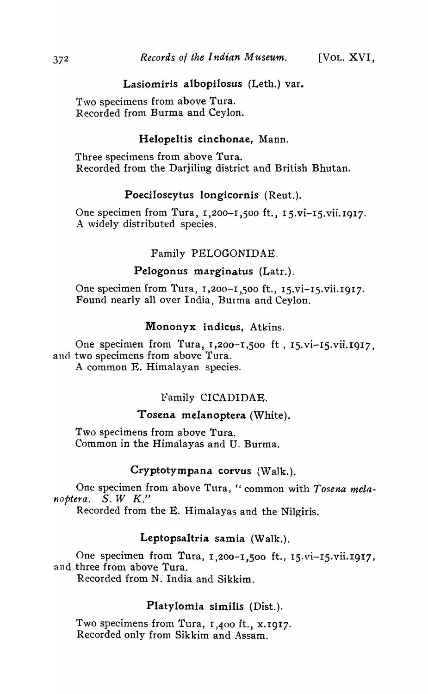# Lasiomiris albopilosus (Leth.) var.

Two specimens from above Tura. Recorded from Burma and Ceylon.

# Helopeltis cinchonae, Mann.

Three specimens from above Tura. Recorded from the Darjiling district and British Bhutan.

# Poeciloscytus longicornis (Reut.).

One specimen from Tura, 1,200-I,500 ft., 15.vi-15.vii.lg17. A widely distributed species.

# Family PELOGONIDAE.

#### Pelogonus marginatus (Latr.).

One specimen from Tura, 1,200-1,500 ft., 15.vi-15.vii.1917. Found nearly all over India, Burma and Ceylon.

# Mononyx indicus, Atkins.

One specimen from 'fura, 1,200-1,500 ft, IS.vi-IS.vii.I917, and two specimens from above Tura. A common E. Himalayan species.

# Family CICADIDAE.

#### Tosena melanoptera (White).

Two specimens from above Tura. Common in the Himalayas and U. Burma.

#### Cryptotym pana corvus (Walk.).

One specimen from above Tura, " common with *Tosena melanoptera.* S. *WK."* 

Recorded from the E. Himalayas and the Nilgiris.

# Leptopsaltria samia (Walk.).

One specimen from Tura, 1,200-1,500 ft., IS.vi-1S.vii.I917, and three from above Tura. Recorded from N. India and Sikkim.

# Platylomia similis (Dist.).

Two specimens from Tura, 1,400 ft., x. 1917. Recorded only from Sikkim and Assam.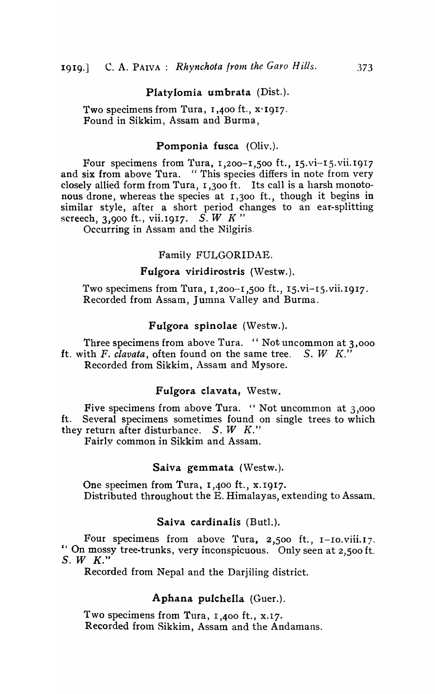#### Platylomia umbrata (Dist.).

Two specimens from Tura, 1,400 ft., x.1917. Found in Sikkim, Assam and Burma,

#### Pomponia fusca (Oliv.).

Four specimens from Tura,  $1,200-1,500$  ft.,  $15.vi-15.vi$ .  $1017$ and six from above Tura. "This species differs in note from very closely allied form from Tura, 1,300 ft. Its call is a harsh monotonous drone, whereas the species at 1,300 ft., though it begins in similar style, after a short period changes to an ear-splitting screech, 3,900 ft., vii.1917. S. *W K*"

Occurring in Assam and the Nilgiris.

#### Family FULGORIDAE.

#### Fulgora viridirostris (Westw.).

Two specimens from Tura, 1,200-1,500 ft., 15.vi-I5.vii.1917. Recorded from Assam, Jumna Valley and Burma.

#### Fulgora spinolae (Westw.).

Three specimens from above Tura. "Not uncommon at 3,000 ft. with  $F$ . *clavata*, often found on the same tree.  $S$ .  $W$   $K$ ." Recorded from Sikkim, Assam and Mysore.

# Fulgora clavata, Westw.

Five specimens from above Tura. "Not uncommon at  $3,000$ ft. Several specimens sometimes found on single trees to which they return after disturbance.  $S. W K."$ 

Fairly common in Sikkim and Assam.

#### Saiva gemmata (Westw.).

One specimen from Tura, 1,400 ft., x.1917. Distributed throughout the E. Himalayas, extending to Assam.

#### Saiva cardinalis (But1.).

Four specimens from above Tura,  $2,500$  ft.,  $1$ -Io. viii. 17. " On mossy tree-trunks, very inconspicuous. Only seen at 2,500 ft.  $S.$  *W*  $K.$ "

Recorded from Nepal and the Darjiling district.

# Aphana pulchella (Guer.).

Two specimens from Tura, 1,400 ft., x.17. Recorded from Sikkim, Assam and the Andamans.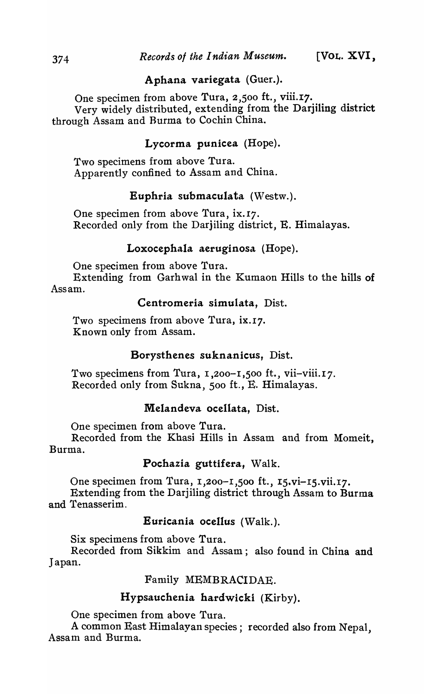# Aphana variegata (Guer.).

One specimen from above Tura, 2,500 ft., viii.17. Very widely distributed, extending from the Darjiling district through Assam and Burma to Cochin China.

# Lycorma punicea (Hope).

Two specimens from above Tura. Apparently confined to Assam and China.

# Euphria submaculata (Westw.).

One specimen from above Tura, ix.17. Recorded only from the Darjiling district, E. Himalayas.

# Loxocephala aeruginosa (Hope).

One specimen from above Tura.

Extending from Garhwal in the Kumaon Hills to the hills of Assam.

#### Centromeria simulata, Dist.

Two specimens from above Tura, ix.17. Known only from Assam.

#### Borysthenes suknanicus, Dist.

Two specimens from Tura, 1,200-1,500 ft., vii-viii.17. Recorded only from Sukna, 500 ft., E. Himalayas.

# Melandeva ocellata, Dist.

One specimen from above Tura.

Recorded from the Khasi Hills in Assam and from Momeit, Burma.

### Pochazia guttifera, Walk.

One specimen from Tura, 1,200-1,500 ft., 15.vi-15.vii.17.

Extending from the Darjiling district through Assam to Burma and Tenasserim.

# Euricania ocellus (Walk.).

Six specimens from above Tura.

Recorded from Sikkim and Assam; also found in China and Japan.

#### Family MEMBRACIDAE.

# Hypsauchenia hardwicki (Kirby).

One specimen from above Tura.

A common East Himalayan species; recorded also from Nepal, Assam and Burma.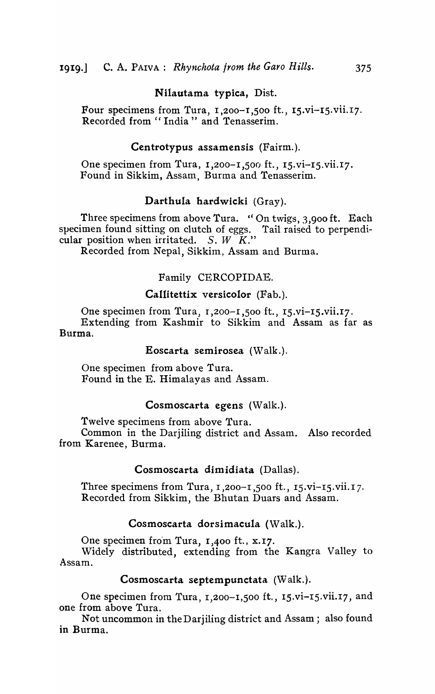# Nilautama typica, Dist.

Four specimens from Tura, 1,200-1,500 ft., 15.vi-15.vii.I7. Recorded from "India" and Tenasserim.

#### Centrotypus assamensis (Fairm.).

One specimen from Tura,  $1,200-1,500$  ft.,  $15.vi-15.vi.17$ . Found in Sikkim, Assam, Burma and Tenasserim.

### Darthula hardwicki (Gray).

Three specimens from above Tura. " On twigs,  $3,900$  ft. Each specimen found sitting on clutch of eggs. Tail raised to perpendicular position when irritated. *S. W*  $\tilde{K}$ ."

Recorded from Nepal, Sikkim, Assam and Burma.

# Family CERCOPIDAE.

#### Callitettix versicolor (Fab.).

One specimen from Tura, I ,200-I ,500 ft., 15.vi-I5.vii.I7. Extending from Kashmir to Sikkim and Assam as far as Burma.

#### Eoscarta semirosea  $(Walk.).$

One specimen from above Tura. Found in the E. Himalayas and Assam.

#### Cosmoscarta egens (Walk.).

Twelve specimens from above Tura.

Common in the Darjiling district and Assam. Also recorded from Karenee, Burma.

#### Cosmoscarta dimidiata (Dallas).

Three specimens from Tura,  $1,200-1,500$  ft.,  $15.0i-15.0i$ i.  $17.$ Recorded from Sikkim, the Bhutan Duars and Assam.

#### Cosmoscarta dorsimacula (Walk.).

One specimen from Tura, 1,400 ft., x.17.

Widely distributed, extending from the Kangra Valley to Assam.

#### Cosmoscarta septempunctata (Walk.).

One specimen from Tura, I,200-I,500 ft., 15.vi-I5.vii.I7, and one from above Tura.

Not uncommon in the Darjiling district and Assam; also found in Burma.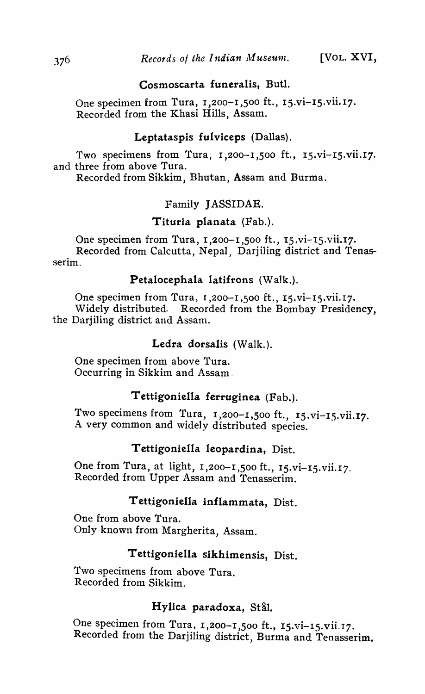# Cosmoscarta funeralis, Butl.

One specimen from Tura, 1,200-1,500 ft., 15.vi-15.vii.17. Recorded from the Khasi Hills, Assam.

# Leptataspis fulviceps (Dallas).

Two specimens from Tura, 1,200-1,500 ft., 15.vi-15.vii.17. and three from above Tura.

Recorded from Sikkim, Bhutan, Assam and Burma.

# Family JASSIDAE.

# Tituria planata (Fab.).

One specimen from Tura,  $1,200-1,500$  ft.,  $15.vi-15.vii.17$ . Recorded from Calcutta, Nepal, Darjiling district and Tenasserim.

#### Petalocephala latifrons (Walk.).

One specimen from Tura, 1,200-1,500 ft., 15.vi-15.vii.17. Widely distributed. Recorded from the Bombay Presidency, the Darjiling district and Assam.

#### Ledra dorsalis (Walk.).

One specimen from above Tura. Occurring in Sikkim and Assam.

# Tettigoniella ferruginea (Fab.).

Two specimens from Tura,  $1,200-1,500$  ft.,  $15.vi-15.vii.17$ . A very common and widely distributed species.

# T ettigoniella leopardina, Dist.

One from Tura, at light, 1,200-1,500 ft., 15.vi-15.vii.17. Recorded from Upper Assam and Tenasserim.

# Tettigoniella inflammata, Dist.

One from above Tura. Only known from Margherita, Assam.

# Tettigoniella sikhimensis, Dist.

Two specimens from above Tura. Recorded from Sikkim.

# Hylica paradoxa, Stål.

One specimen from Tura, 1,200-1,500 ft., 15.vi-15.vii.17. Recorded from the Darjiling district, Burma and Tenasserim.